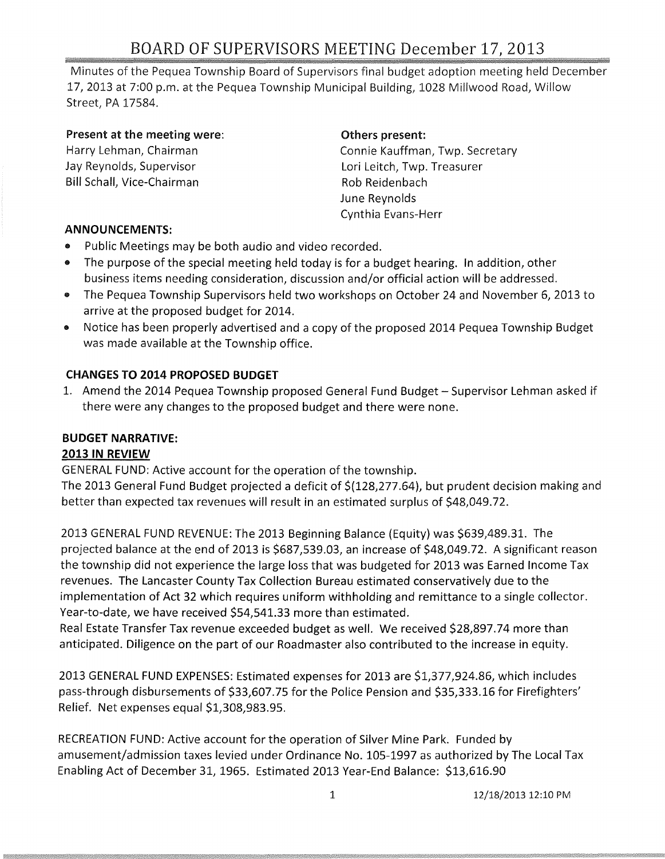Minutes of the Pequea Township Board of Supervisors final budget adoption meeting held December 17,2013 at 7:00 p.m. at the Pequea Township Municipal Building, 1028 Millwood Road, Willow Street, PA 17584.

### Present at the meeting were:

Harry Lehman, Chairman Jay Reynolds, Supervisor Bill Schall, Vice-Chairman

### Others present:

Connie Kauffman, Twp. Secretary Lori Leitch, Twp. Treasurer Rob Reidenbach June Reynolds Cynthia Evans-Herr

### **ANNOUNCEMENTS:**

- Public Meetings may be both audio and video recorded.
- The purpose of the special meeting held today is for a budget hearing. In addition, other business items needing consideration, discussion and/or official action will be addressed.
- The Pequea Township Supervisors held two workshops on October 24 and November 6, 2013 to arrive at the proposed budget for 2014.
- Notice has been properly advertised and a copy of the proposed 2014 Pequea Township Budget was made available at the Township office.

### **CHANGES TO 2014 PROPOSED BUDGET**

1. Amend the 2014 Pequea Township proposed General Fund Budget - Supervisor Lehman asked if there were any changes to the proposed budget and there were none.

## **BUDGET NARRATIVE:**

### **2013 IN REVIEW**

GENERAL FUND: Active account for the operation of the township.

The 2013 General Fund Budget projected a deficit of \$(128,277.64), but prudent decision making and better than expected tax revenues will result in an estimated surplus of \$48,049.72.

2013 GENERAL FUND REVENUE: The 2013 Beginning Balance (Equity) was \$639,489.31. The projected balance at the end of 2013 is \$687,539.03, an increase of \$48,049.72. A significant reason the township did not experience the large loss that was budgeted for 2013 was Earned Income Tax revenues. The Lancaster County Tax Collection Bureau estimated conservatively due to the implementation of Act 32 which requires uniform withholding and remittance to a single collector. Year-to-date, we have received \$54,541.33 more than estimated.

Real Estate Transfer Tax revenue exceeded budget as well. We received \$28,897.74 more than anticipated. Diligence on the part of our Roadmaster also contributed to the increase in equity.

2013 GENERAL FUND EXPENSES: Estimated expenses for 2013 are \$1,377,924.86, which includes pass-through disbursements of \$33,607.75 for the Police Pension and \$35,333.16 for Firefighters' Relief. Net expenses equal \$1,308,983.95.

RECREATION FUND: Active account for the operation of Silver Mine Park. Funded by amusement/admission taxes levied under Ordinance No. 105-1997 as authorized by The Local Tax Enabling Act of December 31, 1965. Estimated 2013 Year-End Balance: \$13,616.90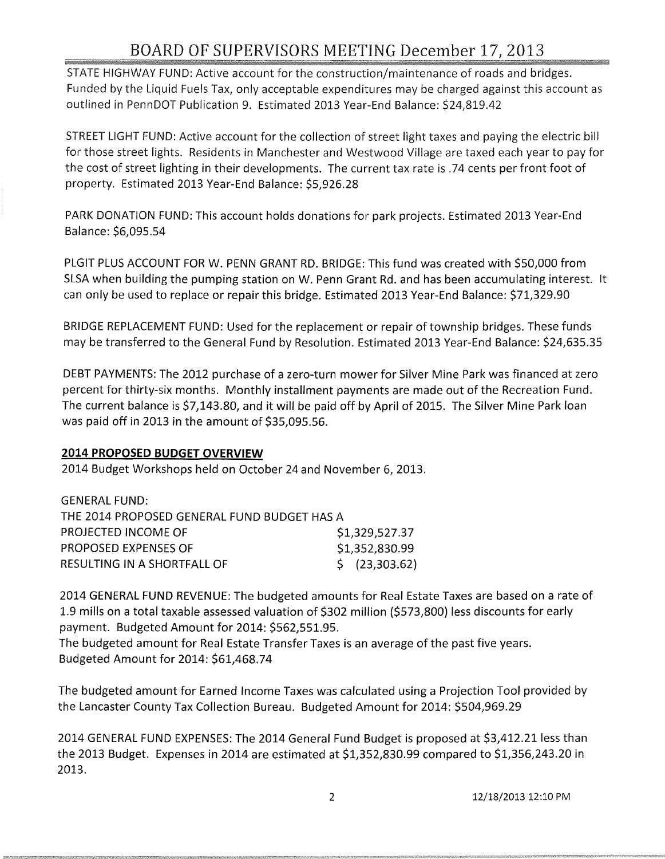# BOARD OF SUPERVISORS MEETING December 17, 2013

STATE HIGHWAY FUND: Active account for the construction/maintenance of roads and bridges. Funded by the Liquid Fuels Tax, only acceptable expenditures may be charged against this account as outlined in PennDOT Publication 9. Estimated 2013 Year-End Balance: \$24,819.42

STREET LIGHT FUND: Active account for the collection of street light taxes and paying the electric bill for those street lights. Residents in Manchester and Westwood Village are taxed each year to pay for the cost of street lighting in their developments. The current tax rate is .74 cents per front foot of property. Estimated 2013 Year-End Balance: \$5,926.28

PARK DONATION FUND: This account holds donations for park projects. Estimated 2013 Year-End Balance: \$6,095.54

PLGIT PLUS ACCOUNT FOR W. PENN GRANT RD. BRIDGE: This fund was created with \$50,000 from SLSA when building the pumping station on W. Penn Grant Rd. and has been accumulating interest. It can only be used to replace or repair this bridge. Estimated 2013 Year-End Balance: \$71,329.90

BRIDGE REPLACEMENT FUND: Used for the replacement or repair of township bridges. These funds may be transferred to the General Fund by Resolution. Estimated 2013 Year-End Balance: \$24,635.35

DEBT PAYMENTS: The 2012 purchase of a zero-turn mower for Silver Mine Park was financed at zero percent for thirty-six months. Monthly installment payments are made out of the Recreation Fund. The current balance is \$7,143.80, and it will be paid off by April of 2015. The Silver Mine Park loan was paid off in 2013 in the amount of \$35,095.56.

### **2014 PROPOSED BUDGET OVERVIEW**

2014 Budget Workshops held on October 24 and November 6, 2013.

| GENERAL FUND:                               |                           |
|---------------------------------------------|---------------------------|
| THE 2014 PROPOSED GENERAL FUND BUDGET HAS A |                           |
| PROJECTED INCOME OF                         | \$1,329,527.37            |
| PROPOSED EXPENSES OF                        | \$1,352,830.99            |
| RESULTING IN A SHORTFALL OF                 | $\frac{1}{2}$ (23,303.62) |

2014 GENERAL FUND REVENUE: The budgeted amounts for Real Estate Taxes are based on a rate of 1.9 mills on a total taxable assessed valuation of \$302 million (\$573,800) less discounts for early payment. Budgeted Amount for 2014: \$562,551.95.

The budgeted amount for Real Estate Transfer Taxes is an average of the past five years. Budgeted Amount for 2014: \$61,468.74

The budgeted amount for Earned Income Taxes was calculated using a Projection Tool provided by the Lancaster County Tax Collection Bureau. Budgeted Amount for 2014: \$504,969.29

2014 GENERAL FUND EXPENSES: The 2014 General Fund Budget is proposed at \$3,412.21 less than the 2013 Budget. Expenses in 2014 are estimated at \$1,352,830.99 compared to \$1,356,243.20 in 2013.